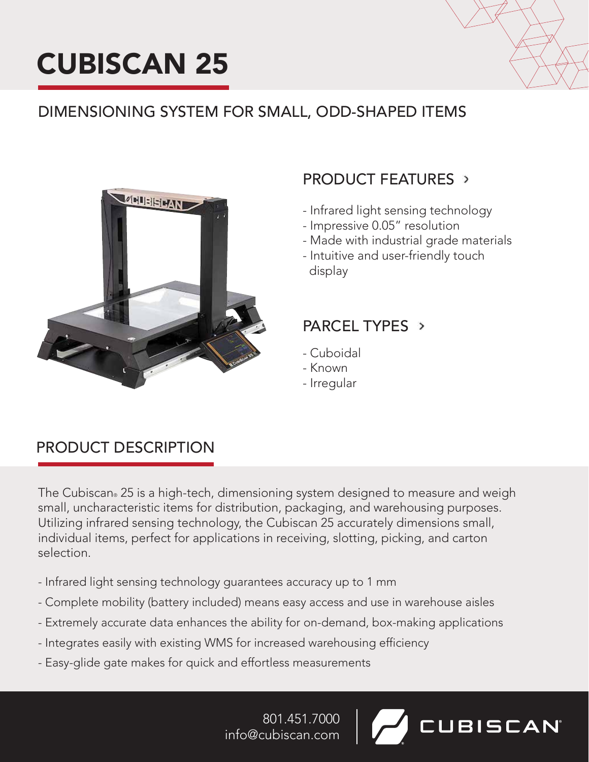



**UBISCAN** 

## DIMENSIONING SYSTEM FOR SMALL, ODD-SHAPED ITEMS



## PRODUCT FEATURES

- Infrared light sensing technology
- Impressive 0.05" resolution
- Made with industrial grade materials
- Intuitive and user-friendly touch display

## PARCEL TYPES >

- Cuboidal
- Known
- Irregular

## PRODUCT DESCRIPTION

The Cubiscan® 25 is a high-tech, dimensioning system designed to measure and weigh small, uncharacteristic items for distribution, packaging, and warehousing purposes. Utilizing infrared sensing technology, the Cubiscan 25 accurately dimensions small, individual items, perfect for applications in receiving, slotting, picking, and carton selection.

- Infrared light sensing technology guarantees accuracy up to 1 mm
- Complete mobility (battery included) means easy access and use in warehouse aisles
- Extremely accurate data enhances the ability for on-demand, box-making applications
- Integrates easily with existing WMS for increased warehousing efficiency
- Easy-glide gate makes for quick and effortless measurements

801.451.7000 info@cubiscan.com